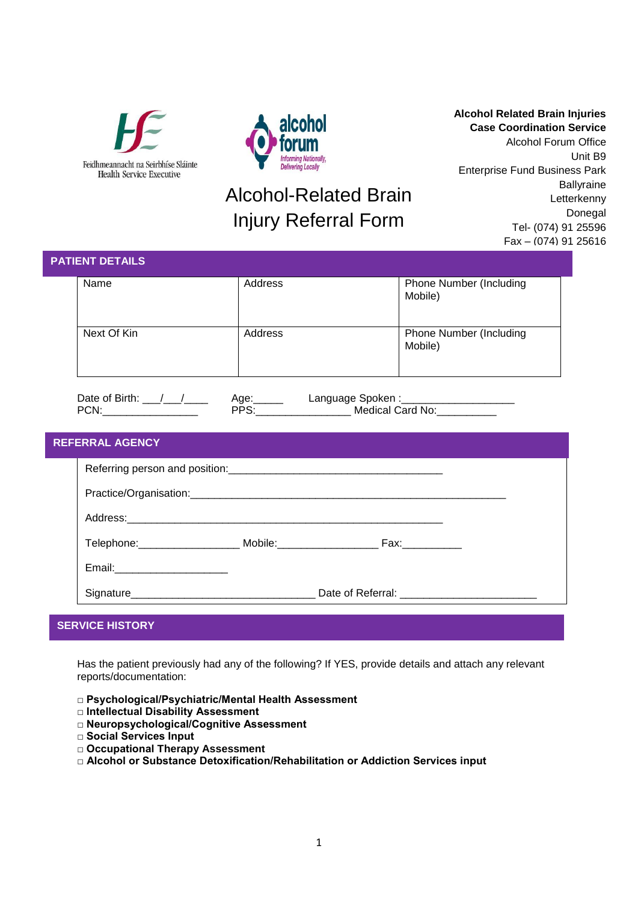



## Alcohol-Related Brain Injury Referral Form

**Alcohol Related Brain Injuries Case Coordination Service** Alcohol Forum Office Unit B9 Enterprise Fund Business Park **Ballyraine** Letterkenny Donegal Tel- (074) 91 25596 Fax – (074) 91 25616

| <b>PATIENT DETAILS</b> |                                                                  |                                                                         |                                           |  |  |  |  |
|------------------------|------------------------------------------------------------------|-------------------------------------------------------------------------|-------------------------------------------|--|--|--|--|
|                        | Name                                                             | Address                                                                 | <b>Phone Number (Including</b><br>Mobile) |  |  |  |  |
|                        | Next Of Kin                                                      | Address                                                                 | Phone Number (Including<br>Mobile)        |  |  |  |  |
|                        | Date of Birth: $\frac{\sqrt{2}}{2}$<br>PCN:_____________________ | Age: Language Spoken : 1997 - 2014<br>PPS: 1998 - Medical Card No: 1998 |                                           |  |  |  |  |
| <b>REFERRAL AGENCY</b> |                                                                  |                                                                         |                                           |  |  |  |  |
|                        |                                                                  |                                                                         |                                           |  |  |  |  |
|                        |                                                                  |                                                                         |                                           |  |  |  |  |
|                        |                                                                  |                                                                         |                                           |  |  |  |  |
|                        |                                                                  |                                                                         |                                           |  |  |  |  |
|                        | Email:_______________________                                    |                                                                         |                                           |  |  |  |  |
|                        |                                                                  |                                                                         |                                           |  |  |  |  |
|                        |                                                                  |                                                                         |                                           |  |  |  |  |

## **SERVICE HISTORY**

Has the patient previously had any of the following? If YES, provide details and attach any relevant reports/documentation:

- **□ Psychological/Psychiatric/Mental Health Assessment**
- **□ Intellectual Disability Assessment**
- **□ Neuropsychological/Cognitive Assessment**
- **□ Social Services Input**
- **□ Occupational Therapy Assessment**
- **□ Alcohol or Substance Detoxification/Rehabilitation or Addiction Services input**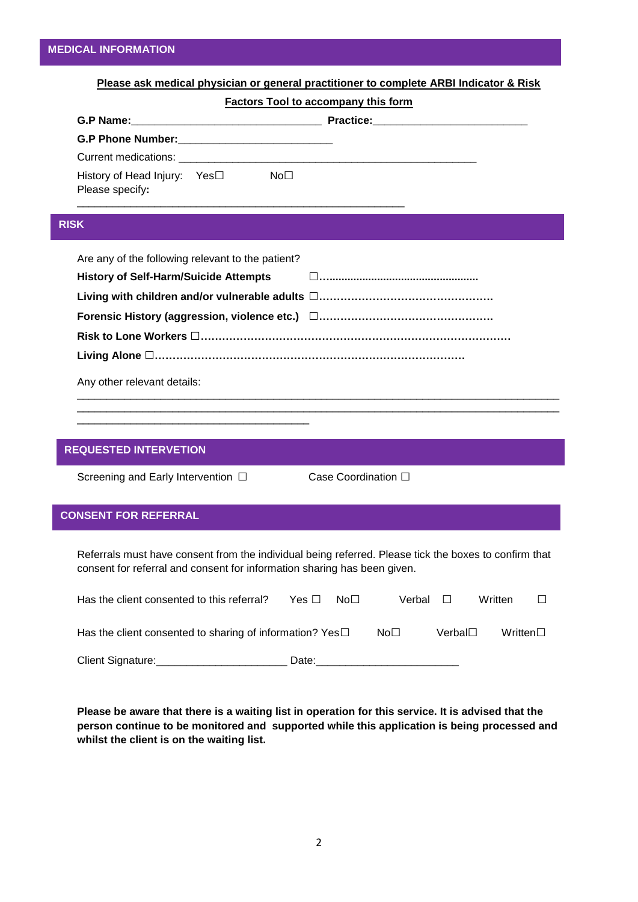|             |                                                                                                                                                                                   | <b>Factors Tool to accompany this form</b> |                     |        |        |         |   |
|-------------|-----------------------------------------------------------------------------------------------------------------------------------------------------------------------------------|--------------------------------------------|---------------------|--------|--------|---------|---|
|             |                                                                                                                                                                                   |                                            |                     |        |        |         |   |
|             |                                                                                                                                                                                   |                                            |                     |        |        |         |   |
|             |                                                                                                                                                                                   |                                            |                     |        |        |         |   |
|             | History of Head Injury: Yes□ No□<br>Please specify:                                                                                                                               |                                            |                     |        |        |         |   |
| <b>RISK</b> |                                                                                                                                                                                   |                                            |                     |        |        |         |   |
|             | Are any of the following relevant to the patient?                                                                                                                                 |                                            |                     |        |        |         |   |
|             |                                                                                                                                                                                   |                                            |                     |        |        |         |   |
|             |                                                                                                                                                                                   |                                            |                     |        |        |         |   |
|             |                                                                                                                                                                                   |                                            |                     |        |        |         |   |
|             |                                                                                                                                                                                   |                                            |                     |        |        |         |   |
|             |                                                                                                                                                                                   |                                            |                     |        |        |         |   |
|             |                                                                                                                                                                                   |                                            |                     |        |        |         |   |
|             | Any other relevant details:                                                                                                                                                       |                                            |                     |        |        |         |   |
|             |                                                                                                                                                                                   |                                            |                     |        |        |         |   |
|             |                                                                                                                                                                                   |                                            |                     |        |        |         |   |
|             | <b>REQUESTED INTERVETION</b>                                                                                                                                                      |                                            |                     |        |        |         |   |
|             | Screening and Early Intervention □                                                                                                                                                |                                            | Case Coordination □ |        |        |         |   |
|             |                                                                                                                                                                                   |                                            |                     |        |        |         |   |
|             | <b>CONSENT FOR REFERRAL</b>                                                                                                                                                       |                                            |                     |        |        |         |   |
|             |                                                                                                                                                                                   |                                            |                     |        |        |         |   |
|             | Referrals must have consent from the individual being referred. Please tick the boxes to confirm that<br>consent for referral and consent for information sharing has been given. |                                            |                     |        |        |         |   |
|             |                                                                                                                                                                                   |                                            |                     |        |        |         |   |
|             | Has the client consented to this referral?                                                                                                                                        | Yes $\square$                              | No <sub>1</sub>     | Verbal | $\Box$ | Written | ⊔ |

Client Signature:\_\_\_\_\_\_\_\_\_\_\_\_\_\_\_\_\_\_\_\_\_\_\_\_\_\_\_\_\_\_ Date:\_\_\_\_\_\_\_\_\_\_\_\_\_\_\_\_\_\_\_\_\_\_\_\_\_\_\_\_

**Please be aware that there is a waiting list in operation for this service. It is advised that the person continue to be monitored and supported while this application is being processed and whilst the client is on the waiting list.**